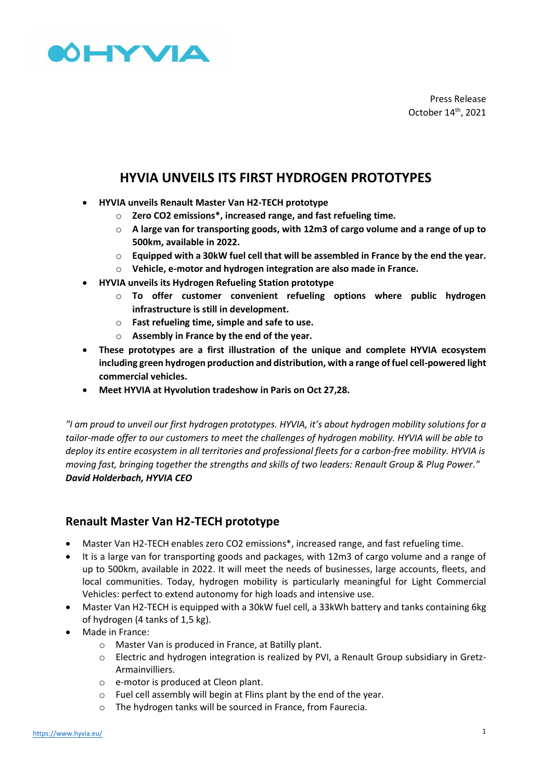

Press Release October 14 th, 2021

# **HYVIA UNVEILS ITS FIRST HYDROGEN PROTOTYPES**

- **HYVIA unveils Renault Master Van H2-TECH prototype**
	- o **Zero CO2 emissions\*, increased range, and fast refueling time.**
	- o **A large van for transporting goods, with 12m3 of cargo volume and a range of up to 500km, available in 2022.**
	- o **Equipped with a 30kW fuel cell that will be assembled in France by the end the year.**
	- o **Vehicle, e-motor and hydrogen integration are also made in France.**
- **HYVIA unveils its Hydrogen Refueling Station prototype**
	- o **To offer customer convenient refueling options where public hydrogen infrastructure is still in development.**
	- o **Fast refueling time, simple and safe to use.**
	- o **Assembly in France by the end of the year.**
- **These prototypes are a first illustration of the unique and complete HYVIA ecosystem including green hydrogen production and distribution, with a range of fuel cell-powered light commercial vehicles.**
- **Meet HYVIA at Hyvolution tradeshow in Paris on Oct 27,28.**

*"I am proud to unveil our first hydrogen prototypes. HYVIA, it's about hydrogen mobility solutions for a tailor-made offer to our customers to meet the challenges of hydrogen mobility. HYVIA will be able to deploy its entire ecosystem in all territories and professional fleets for a carbon-free mobility. HYVIA is moving fast, bringing together the strengths and skills of two leaders: Renault Group & Plug Power." David Holderbach, HYVIA CEO*

### **Renault Master Van H2-TECH prototype**

- Master Van H2-TECH enables zero CO2 emissions\*, increased range, and fast refueling time.
- It is a large van for transporting goods and packages, with 12m3 of cargo volume and a range of up to 500km, available in 2022. It will meet the needs of businesses, large accounts, fleets, and local communities. Today, hydrogen mobility is particularly meaningful for Light Commercial Vehicles: perfect to extend autonomy for high loads and intensive use.
- Master Van H2-TECH is equipped with a 30kW fuel cell, a 33kWh battery and tanks containing 6kg of hydrogen (4 tanks of 1,5 kg).
- Made in France:
	- o Master Van is produced in France, at Batilly plant.
	- o Electric and hydrogen integration is realized by PVI, a Renault Group subsidiary in Gretz-Armainvilliers.
	- o e-motor is produced at Cleon plant.
	- o Fuel cell assembly will begin at Flins plant by the end of the year.
	- o The hydrogen tanks will be sourced in France, from Faurecia.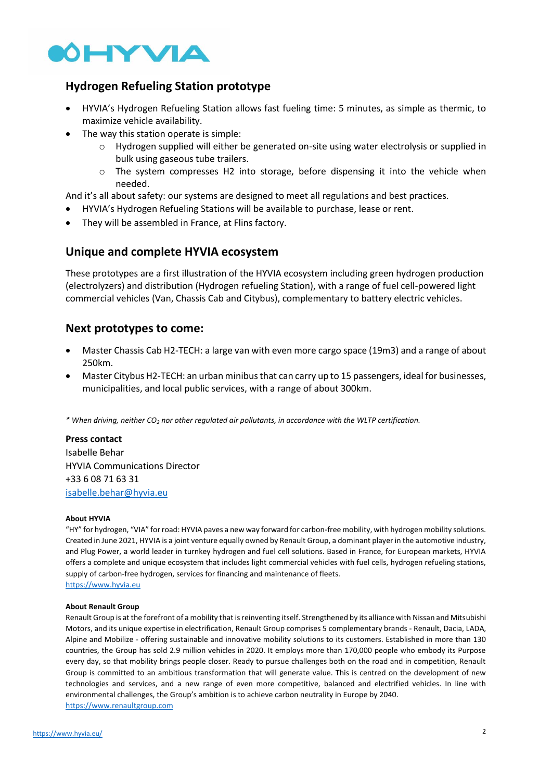

## **Hydrogen Refueling Station prototype**

- HYVIA's Hydrogen Refueling Station allows fast fueling time: 5 minutes, as simple as thermic, to maximize vehicle availability.
- The way this station operate is simple:
	- o Hydrogen supplied will either be generated on-site using water electrolysis or supplied in bulk using gaseous tube trailers.
	- $\circ$  The system compresses H2 into storage, before dispensing it into the vehicle when needed.

And it's all about safety: our systems are designed to meet all regulations and best practices.

- HYVIA's Hydrogen Refueling Stations will be available to purchase, lease or rent.
- They will be assembled in France, at Flins factory.

#### **Unique and complete HYVIA ecosystem**

These prototypes are a first illustration of the HYVIA ecosystem including green hydrogen production (electrolyzers) and distribution (Hydrogen refueling Station), with a range of fuel cell-powered light commercial vehicles (Van, Chassis Cab and Citybus), complementary to battery electric vehicles.

## **Next prototypes to come:**

- Master Chassis Cab H2-TECH: a large van with even more cargo space (19m3) and a range of about 250km.
- Master Citybus H2-TECH: an urban minibus that can carry up to 15 passengers, ideal for businesses, municipalities, and local public services, with a range of about 300km.

*\* When driving, neither CO<sup>2</sup> nor other regulated air pollutants, in accordance with the WLTP certification.*

**Press contact**  Isabelle Behar HYVIA Communications Director +33 6 08 71 63 31 [isabelle.behar@hyvia.eu](mailto:isabelle.behar@hyvia.eu)

#### **About HYVIA**

"HY" for hydrogen, "VIA" for road: HYVIA paves a new way forward for carbon-free mobility, with hydrogen mobility solutions. Created in June 2021, HYVIA is a joint venture equally owned by Renault Group, a dominant player in the automotive industry, and Plug Power, a world leader in turnkey hydrogen and fuel cell solutions. Based in France, for European markets, HYVIA offers a complete and unique ecosystem that includes light commercial vehicles with fuel cells, hydrogen refueling stations, supply of carbon-free hydrogen, services for financing and maintenance of fleets. https://www.hyvia.eu

#### **About Renault Group**

Renault Group is at the forefront of a mobility that is reinventing itself. Strengthened by its alliance with Nissan and Mitsubishi Motors, and its unique expertise in electrification, Renault Group comprises 5 complementary brands - Renault, Dacia, LADA, Alpine and Mobilize - offering sustainable and innovative mobility solutions to its customers. Established in more than 130 countries, the Group has sold 2.9 million vehicles in 2020. It employs more than 170,000 people who embody its Purpose every day, so that mobility brings people closer. Ready to pursue challenges both on the road and in competition, Renault Group is committed to an ambitious transformation that will generate value. This is centred on the development of new technologies and services, and a new range of even more competitive, balanced and electrified vehicles. In line with environmental challenges, the Group's ambition is to achieve carbon neutrality in Europe by 2040. [https://www.renaultgroup.com](https://www.renaultgroup.com/)